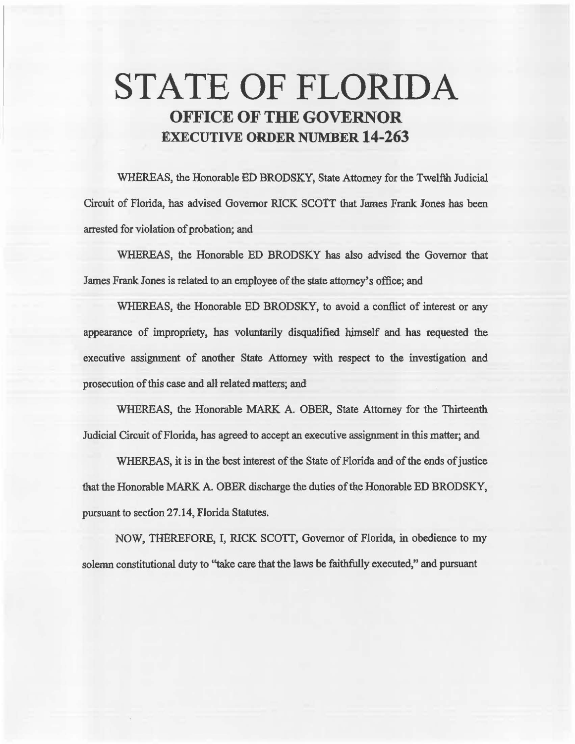## STATE OF FLORIDA **OFFICE OF THE GOVERNOR EXECUTIVE ORDER NUMBER 14-263**

WHEREAS, the Honorable ED BRODSKY, State Attorney for the Twelfth Judicial Circuit of Florida, has advised Governor RICK SCOTT that James Frank Jones has been arrested for violation of probation; and

WHEREAS, the Honorable ED BRODSKY has also advised the Governor that James Frank Jones is related to an employee of the state attorney's office; and

WHEREAS, the Honorable ED BRODSKY, to avoid a conflict of interest or any appearance of impropriety, has voluntarily disqualified himself and has requested the executive assignment of another State Attorney with respect to the investigation and prosecution of this case and all related matters; and

WHEREAS, the Honorable MARK A. OBER, State Attorney for the Thirteenth Judicial Circuit of Florida, has agreed to accept an executive assignment in this matter; and

WHEREAS, it is in the best interest of the State of Florida and of the ends of justice that the Honorable MARK A. OBER discharge the duties of the Honorable ED BRODSKY, pursuant to section 27.14, Florida Statutes.

NOW, THEREFORE, I, RICK SCOTT, Governor of Florida, in obedience to my solemn constitutional duty to "take care that the laws be faithfully executed," and pursuant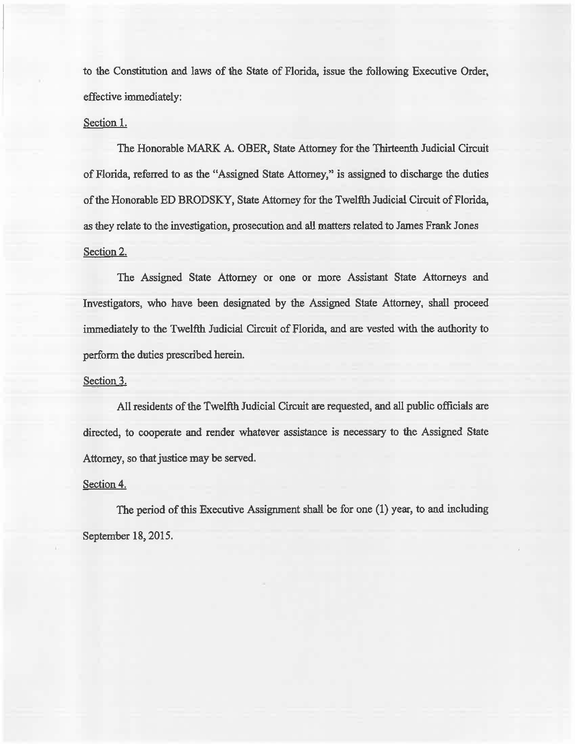to the Constitution and laws of the State of Florida, issue the following Executive Order, effective immediately:

## Section I.

The Honorable MARK A. OBER, State Attorney for the Thirteenth Judicial Circuit of Florida, referred to as the "Assigned State Attorney," is assigned to discharge the duties of the Honorable ED BRODSKY, State Attorney for the Twelfth Judicial Circuit of Florida, *as* they relate to the investigation, prosecution and all matters related to James Frank Jones Section 2.

The Assigned State Attorney or one or more Assistant State Attorneys and Investigators, who have been designated by the Assigned State Attorney, shall proceed immediately to the Twelfth Judicial Circuit of Florida, and are vested with the authority to perform the duties prescribed herein.

## Section 3.

All residents of the Twelfth Judicial Circuit are requested, and all public officials are directed, to cooperate and render whatever assistance is necessary to the Assigned State Attorney, so that justice may be served.

## Section 4.

The period of this Executive Assignment shall be for one  $(1)$  year, to and including September 18, 2015.